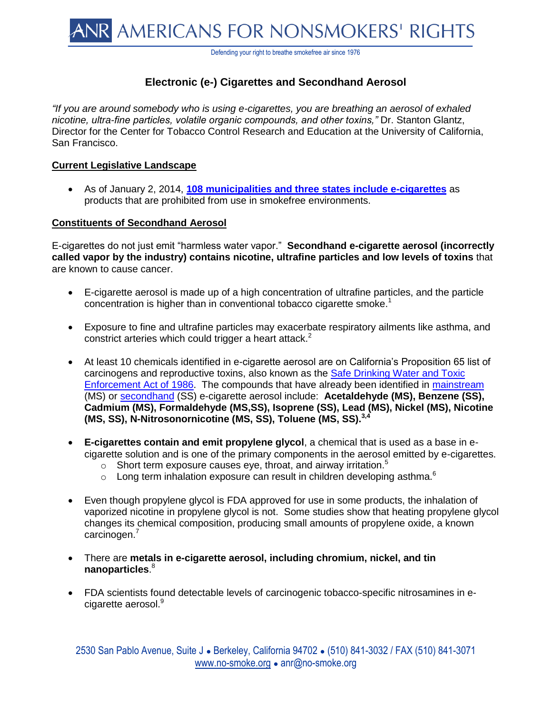Defending your right to breathe smokefree air since 1976

# **Electronic (e-) Cigarettes and Secondhand Aerosol**

*"If you are around somebody who is using e-cigarettes, you are breathing an aerosol of exhaled nicotine, ultra-fine particles, volatile organic compounds, and other toxins,"* Dr. Stanton Glantz, Director for the Center for Tobacco Control Research and Education at the University of California, San Francisco.

## **Current Legislative Landscape**

 As of January 2, 2014, **[108 municipalities and three states include e-cigarettes](http://www.no-smoke.org/pdf/ecigslaws.pdf)** as products that are prohibited from use in smokefree environments.

## **Constituents of Secondhand Aerosol**

E-cigarettes do not just emit "harmless water vapor." **Secondhand e-cigarette aerosol (incorrectly called vapor by the industry) contains nicotine, ultrafine particles and low levels of toxins** that are known to cause cancer.

- E-cigarette aerosol is made up of a high concentration of ultrafine particles, and the particle concentration is higher than in conventional tobacco cigarette smoke.<sup>1</sup>
- Exposure to fine and ultrafine particles may exacerbate respiratory ailments like asthma, and constrict arteries which could trigger a heart attack. $2$
- At least 10 chemicals identified in e-cigarette aerosol are on California's Proposition 65 list of carcinogens and reproductive toxins, also known as the [Safe Drinking Water and Toxic](http://oehha.ca.gov/prop65/law/P65law72003.html)  [Enforcement Act of 1986.](http://oehha.ca.gov/prop65/law/P65law72003.html)The compounds that have already been identified in [mainstream](http://tobaccocontrol.bmj.com/content/early/2013/03/05/tobaccocontrol-2012-050859.full?sid=b184b7fa-da66-4739-a625-60f68788be1a) (MS) or [secondhand](http://onlinelibrary.wiley.com/doi/10.1111/j.1600-0668.2012.00792.x/pdf) (SS) e-cigarette aerosol include: **Acetaldehyde (MS), Benzene (SS), Cadmium (MS), Formaldehyde (MS,SS), Isoprene (SS), Lead (MS), Nickel (MS), Nicotine (MS, SS), N-Nitrosonornicotine (MS, SS), Toluene (MS, SS).3,4**
- **E-cigarettes contain and emit propylene glycol**, a chemical that is used as a base in ecigarette solution and is one of the primary components in the aerosol emitted by e-cigarettes.
	- $\circ$  Short term exposure causes eye, throat, and airway irritation. $\circ$
	- $\circ$  Long term inhalation exposure can result in children developing asthma.<sup>6</sup>
- Even though propylene glycol is FDA approved for use in some products, the inhalation of vaporized nicotine in propylene glycol is not. Some studies show that heating propylene glycol changes its chemical composition, producing small amounts of propylene oxide, a known carcinogen.<sup>7</sup>
- There are **metals in e-cigarette aerosol, including chromium, nickel, and tin nanoparticles**. 8
- FDA scientists found detectable levels of carcinogenic tobacco-specific nitrosamines in ecigarette aerosol.<sup>9</sup>

2530 San Pablo Avenue, Suite J ● Berkeley, California 94702 ● (510) 841-3032 / FAX (510) 841-3071 [www.no-smoke.org](http://www.no-smoke.org/) • anr@no-smoke.org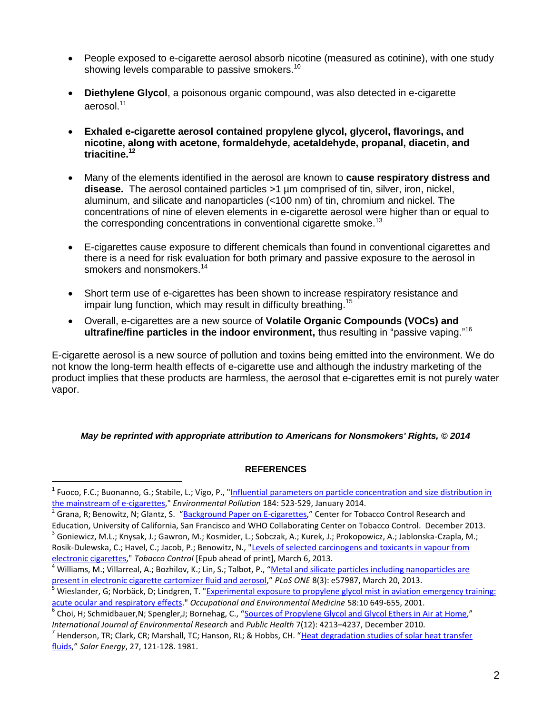- People exposed to e-cigarette aerosol absorb nicotine (measured as cotinine), with one study showing levels comparable to passive smokers.<sup>10</sup>
- **Diethylene Glycol**, a poisonous organic compound, was also detected in e-cigarette aerosol.<sup>11</sup>
- **Exhaled e-cigarette aerosol contained propylene glycol, glycerol, flavorings, and nicotine, along with acetone, formaldehyde, acetaldehyde, propanal, diacetin, and triacitine.<sup>12</sup>**
- Many of the elements identified in the aerosol are known to **cause respiratory distress and disease.** The aerosol contained particles >1 µm comprised of tin, silver, iron, nickel, aluminum, and silicate and nanoparticles (<100 nm) of tin, chromium and nickel. The concentrations of nine of eleven elements in e-cigarette aerosol were higher than or equal to the corresponding concentrations in conventional cigarette smoke.<sup>13</sup>
- E-cigarettes cause exposure to different chemicals than found in conventional cigarettes and there is a need for risk evaluation for both primary and passive exposure to the aerosol in smokers and nonsmokers.<sup>14</sup>
- Short term use of e-cigarettes has been shown to increase respiratory resistance and impair lung function, which may result in difficulty breathing.<sup>15</sup>
- Overall, e-cigarettes are a new source of **Volatile Organic Compounds (VOCs) and ultrafine/fine particles in the indoor environment,** thus resulting in "passive vaping."<sup>16</sup>

E-cigarette aerosol is a new source of pollution and toxins being emitted into the environment. We do not know the long-term health effects of e-cigarette use and although the industry marketing of the product implies that these products are harmless, the aerosol that e-cigarettes emit is not purely water vapor.

### *May be reprinted with appropriate attribution to Americans for Nonsmokers' Rights, © 2014*

### **REFERENCES**

 $\overline{a}$ 

<sup>&</sup>lt;sup>1</sup> Fuoco, F.C.; Buonanno, G.; Stabile, L.; Vigo, P., "<u>Influential parameters on particle concentration and size distribution in</u> [the mainstream of e-cigarettes,](http://www.sciencedirect.com/science/article/pii/S0269749113005307)" *Environmental Pollution* 184: 523-529, January 2014.

<sup>2</sup> Grana, R; Benowitz, N; Glantz, S. "[Background Paper on E-cigarettes](http://arizonansconcernedaboutsmoking.com/201312e-cig_report.pdf)," Center for Tobacco Control Research and Education, University of California, San Francisco and WHO Collaborating Center on Tobacco Control. December 2013.

<sup>&</sup>lt;sup>3</sup> Goniewicz, M.L.; Knysak, J.; Gawron, M.; Kosmider, L.; Sobczak, A.; Kurek, J.; Prokopowicz, A.; Jablonska-Czapla, M.; Rosik-Dulewska, C.; Havel, C.; Jacob, P.; Benowitz, N., "Levels of selected carcinogens and toxicants in vapour from [electronic cigarettes,"](http://tobaccocontrol.bmj.com/content/early/2013/03/05/tobaccocontrol-2012-050859.abstract) *Tobacco Control* [Epub ahead of print], March 6, 2013.

<sup>&</sup>lt;sup>4</sup> Williams, M.; Villarreal, A.; Bozhilov, K.; Lin, S.; Talbot, P., "Metal and silicate particles including nanoparticles are [present in electronic cigarette cartomizer fluid and aerosol](http://www.plosone.org/article/info:doi/10.1371/journal.pone.0057987)," *PLoS ONE* 8(3): e57987, March 20, 2013.

<sup>5</sup> Wieslander, G; Norbäck, D; Lindgren, T. ["Experimental exposure to propylene glycol mist in aviation emergency training:](http://www.ncbi.nlm.nih.gov/pmc/articles/PMC1740047/)  [acute ocular and respiratory effects.](http://www.ncbi.nlm.nih.gov/pmc/articles/PMC1740047/)" *Occupational and Environmental Medicine* 58:10 649-655, 2001.

<sup>&</sup>lt;sup>6</sup> Choi, H; Schmidbauer,N; Spengler,J; Bornehag, C., "<u>[Sources of Propylene Glycol and Glycol Ethers in Air at Home](http://www.ncbi.nlm.nih.gov/pmc/articles/PMC3037050/)</u>," *International Journal of Environmental Research* and *Public Health* 7(12): 4213–4237, December 2010.

<sup>&</sup>lt;sup>7</sup> Henderson, TR; Clark, CR; Marshall, TC; Hanson, RL; & Hobbs, CH. "<u>Heat degradation studies of solar heat transfer</u> [fluids](http://www.sciencedirect.com/science/article/pii/0038092X81900335)," *Solar Energy*, 27, 121-128. 1981.